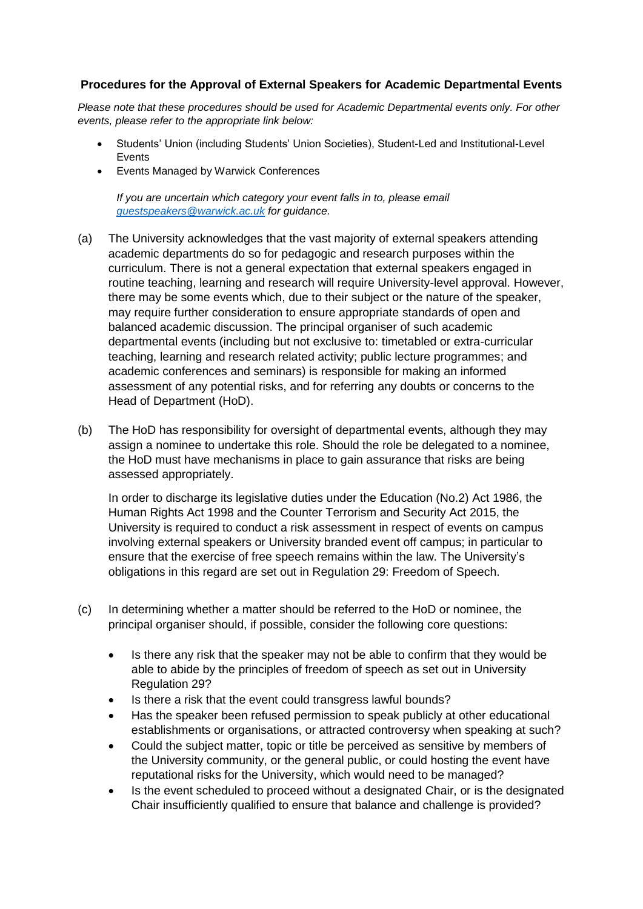## **Procedures for the Approval of External Speakers for Academic Departmental Events**

*Please note that these procedures should be used for Academic Departmental events only. For other events, please refer to the appropriate link below:*

- Students' Union (including Students' Union Societies), Student-Led and Institutional-Level Events
- Events Managed by Warwick Conferences

*If you are uncertain which category your event falls in to, please email [guestspeakers@warwick.ac.uk](mailto:guestspeakers@warwick.ac.uk) for guidance.*

- (a) The University acknowledges that the vast majority of external speakers attending academic departments do so for pedagogic and research purposes within the curriculum. There is not a general expectation that external speakers engaged in routine teaching, learning and research will require University-level approval. However, there may be some events which, due to their subject or the nature of the speaker, may require further consideration to ensure appropriate standards of open and balanced academic discussion. The principal organiser of such academic departmental events (including but not exclusive to: timetabled or extra-curricular teaching, learning and research related activity; public lecture programmes; and academic conferences and seminars) is responsible for making an informed assessment of any potential risks, and for referring any doubts or concerns to the Head of Department (HoD).
- (b) The HoD has responsibility for oversight of departmental events, although they may assign a nominee to undertake this role. Should the role be delegated to a nominee, the HoD must have mechanisms in place to gain assurance that risks are being assessed appropriately.

In order to discharge its legislative duties under the Education (No.2) Act 1986, the Human Rights Act 1998 and the Counter Terrorism and Security Act 2015, the University is required to conduct a risk assessment in respect of events on campus involving external speakers or University branded event off campus; in particular to ensure that the exercise of free speech remains within the law. The University's obligations in this regard are set out in Regulation 29: Freedom of Speech.

- (c) In determining whether a matter should be referred to the HoD or nominee, the principal organiser should, if possible, consider the following core questions:
	- Is there any risk that the speaker may not be able to confirm that they would be able to abide by the principles of freedom of speech as set out in University Regulation 29?
	- Is there a risk that the event could transgress lawful bounds?
	- Has the speaker been refused permission to speak publicly at other educational establishments or organisations, or attracted controversy when speaking at such?
	- Could the subject matter, topic or title be perceived as sensitive by members of the University community, or the general public, or could hosting the event have reputational risks for the University, which would need to be managed?
	- Is the event scheduled to proceed without a designated Chair, or is the designated Chair insufficiently qualified to ensure that balance and challenge is provided?